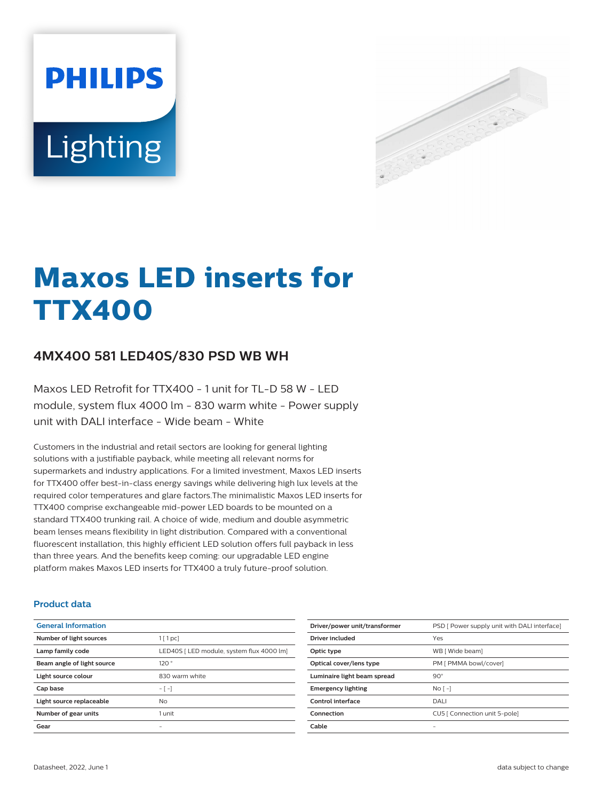# **PHILIPS** Lighting



# **Maxos LED inserts for TTX400**

# **4MX400 581 LED40S/830 PSD WB WH**

Maxos LED Retrofit for TTX400 - 1 unit for TL-D 58 W - LED module, system flux 4000 lm - 830 warm white - Power supply unit with DALI interface - Wide beam - White

Customers in the industrial and retail sectors are looking for general lighting solutions with a justifiable payback, while meeting all relevant norms for supermarkets and industry applications. For a limited investment, Maxos LED inserts for TTX400 offer best-in-class energy savings while delivering high lux levels at the required color temperatures and glare factors.The minimalistic Maxos LED inserts for TTX400 comprise exchangeable mid-power LED boards to be mounted on a standard TTX400 trunking rail. A choice of wide, medium and double asymmetric beam lenses means flexibility in light distribution. Compared with a conventional fluorescent installation, this highly efficient LED solution offers full payback in less than three years. And the benefits keep coming: our upgradable LED engine platform makes Maxos LED inserts for TTX400 a truly future-proof solution.

#### **Product data**

| <b>General Information</b> |                                           |
|----------------------------|-------------------------------------------|
| Number of light sources    | $1$ [ 1 pc]                               |
| Lamp family code           | LED40S [ LED module, system flux 4000 lm] |
| Beam angle of light source | 120°                                      |
| Light source colour        | 830 warm white                            |
| Cap base                   | $-[-]$                                    |
| Light source replaceable   | N <sub>o</sub>                            |
| Number of gear units       | 1 unit                                    |
| Gear                       |                                           |

| Driver/power unit/transformer | PSD [ Power supply unit with DALI interface] |
|-------------------------------|----------------------------------------------|
| Driver included               | Yes                                          |
| Optic type                    | WB [ Wide beam]                              |
| Optical cover/lens type       | PM [ PMMA bowl/cover]                        |
| Luminaire light beam spread   | $90^\circ$                                   |
| <b>Emergency lighting</b>     | No <sub>1</sub>                              |
| Control interface             | DALI                                         |
| Connection                    | CU5   Connection unit 5-pole]                |
| Cable                         |                                              |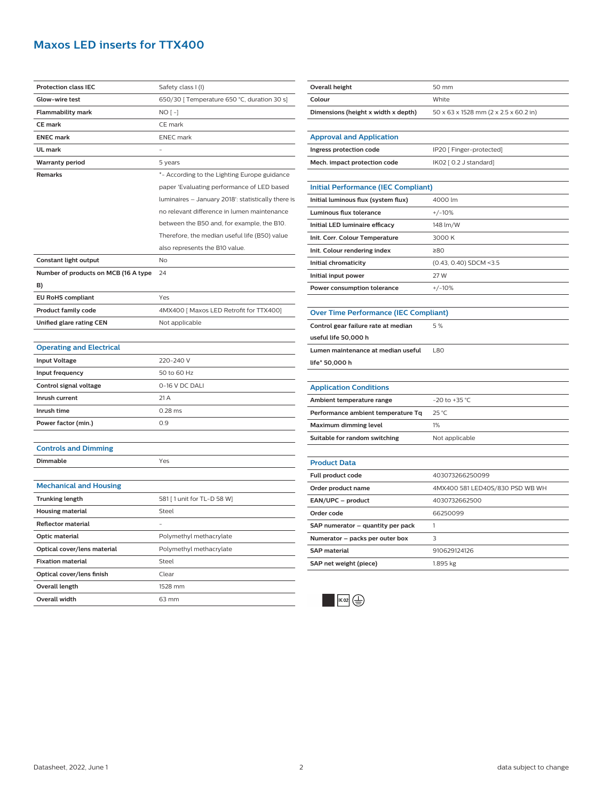# **Maxos LED inserts for TTX400**

| <b>Protection class IEC</b>          | Safety class I (I)                                 |
|--------------------------------------|----------------------------------------------------|
| <b>Glow-wire test</b>                | 650/30 [ Temperature 650 °C, duration 30 s]        |
| <b>Flammability mark</b>             | $NO[-]$                                            |
| <b>CE</b> mark                       | CE mark                                            |
| <b>ENEC mark</b>                     | <b>ENEC</b> mark                                   |
| UL mark                              |                                                    |
| <b>Warranty period</b>               | 5 years                                            |
| Remarks                              | *- According to the Lighting Europe guidance       |
|                                      | paper 'Evaluating performance of LED based         |
|                                      | luminaires - January 2018': statistically there is |
|                                      | no relevant difference in lumen maintenance        |
|                                      | between the B50 and, for example, the B10.         |
|                                      | Therefore, the median useful life (B50) value      |
|                                      | also represents the B10 value.                     |
| Constant light output                | No                                                 |
| Number of products on MCB (16 A type | 24                                                 |
| B)                                   |                                                    |
| <b>EU RoHS compliant</b>             | Yes                                                |
| <b>Product family code</b>           | 4MX400 [ Maxos LED Retrofit for TTX400]            |
| Unified glare rating CEN             | Not applicable                                     |
|                                      |                                                    |
| <b>Operating and Electrical</b>      |                                                    |
| <b>Input Voltage</b>                 | 220-240 V                                          |
| Input frequency                      | 50 to 60 Hz                                        |
| Control signal voltage               | 0-16 V DC DALI                                     |
| Inrush current                       | 21 A                                               |
| Inrush time                          | $0.28$ ms                                          |
| Power factor (min.)                  | 0.9                                                |
|                                      |                                                    |
| <b>Controls and Dimming</b>          |                                                    |
| <b>Dimmable</b>                      | Yes                                                |
|                                      |                                                    |
| <b>Mechanical and Housing</b>        |                                                    |
| <b>Trunking length</b>               | 581 [1 unit for TL-D 58 W]                         |
| Housing material                     | Steel                                              |
| Reflector material                   |                                                    |
| <b>Optic material</b>                | Polymethyl methacrylate                            |
| Optical cover/lens material          | Polymethyl methacrylate                            |
| <b>Fixation material</b>             | Steel                                              |
| Optical cover/lens finish            | Clear                                              |
| Overall length                       | 1528 mm                                            |
| <b>Overall width</b>                 |                                                    |
|                                      | 63 mm                                              |

| Overall height                               | 50 mm                                 |  |
|----------------------------------------------|---------------------------------------|--|
| Colour                                       | White                                 |  |
| Dimensions (height x width x depth)          | 50 x 63 x 1528 mm (2 x 2.5 x 60.2 in) |  |
|                                              |                                       |  |
| <b>Approval and Application</b>              |                                       |  |
| Ingress protection code                      | IP20 [ Finger-protected]              |  |
| Mech. impact protection code                 | IK02 [ 0.2 J standard]                |  |
|                                              |                                       |  |
| <b>Initial Performance (IEC Compliant)</b>   |                                       |  |
| Initial luminous flux (system flux)          | 4000 lm                               |  |
| Luminous flux tolerance                      | $+/-10%$                              |  |
| Initial LED luminaire efficacy               | 148 lm/W                              |  |
| Init. Corr. Colour Temperature               | 3000 K                                |  |
| Init. Colour rendering index                 | ≥80                                   |  |
| Initial chromaticity                         | (0.43, 0.40) SDCM <3.5                |  |
| Initial input power                          | 27 W                                  |  |
| Power consumption tolerance                  | $+/-10%$                              |  |
|                                              |                                       |  |
| <b>Over Time Performance (IEC Compliant)</b> |                                       |  |
| Control gear failure rate at median          | 5%                                    |  |
| useful life 50,000 h                         |                                       |  |
| Lumen maintenance at median useful           | <b>L80</b>                            |  |
| life* 50,000 h                               |                                       |  |
|                                              |                                       |  |
| <b>Application Conditions</b>                |                                       |  |
| Ambient temperature range                    | $-20$ to $+35$ °C                     |  |
| Performance ambient temperature Tq           | 25 °C                                 |  |
| Maximum dimming level                        | 1%                                    |  |
| Suitable for random switching                | Not applicable                        |  |
|                                              |                                       |  |
| <b>Product Data</b>                          |                                       |  |
| Full product code                            | 403073266250099                       |  |
| Order product name                           | 4MX400 581 LED40S/830 PSD WB WH       |  |
| EAN/UPC - product                            | 4030732662500                         |  |
| Order code                                   | 66250099                              |  |
| SAP numerator – quantity per pack            | 1                                     |  |
| Numerator - packs per outer box              | 3                                     |  |
| <b>SAP</b> material                          | 910629124126                          |  |
| SAP net weight (piece)                       | 1.895 kg                              |  |
|                                              |                                       |  |